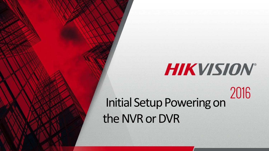# HIKVISION® Initial Setup Powering on the NVR or DVR

© 2015Hikvision USA Inc. All RightsReserved. Confidential and Proprietary.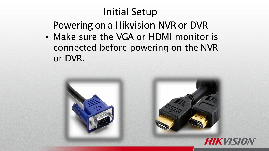#### Initial Setup

Powering on a Hikvision NVR or DVR

• Make sure the VGA or HDMI monitor is connected before powering on the NVR or DVR.

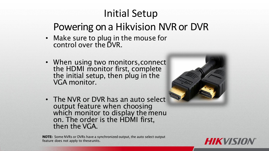## Initial Setup Powering on a Hikvision NVR or DVR

- Make sure to plug in the mouse for control over the DVR.
- When using two monitors,connect the HDMI monitor first, complete the initial setup, then plug in the VGA monitor.







**HIKVIS**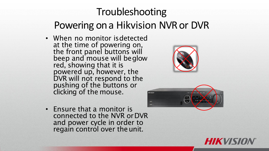### Troubleshooting Powering on a Hikvision NVR or DVR

• When no monitor isdetected at the time of powering on, the front panel buttons will beep and mouse will beglow red, showing that it is powered up, however, the DVR will not respond to the pushing of the buttons or clicking of the mouse.





• Ensure that a monitor is connected to the NVR orDVR and power cycle in order to regain control over the unit.